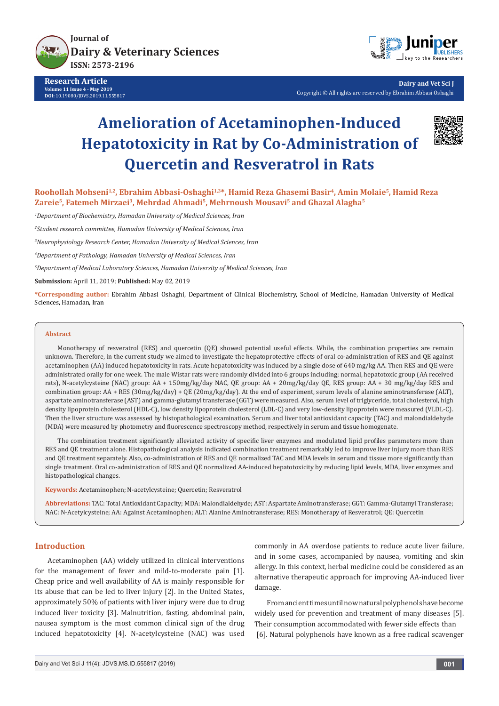

**Research Article Volume 11 Issue 4 - May 2019 DOI:** 10.19080/JDVS.2019.11.555817



**Dairy and Vet Sci J** Copyright © All rights are reserved by Ebrahim Abbasi Oshaghi

# **Amelioration of Acetaminophen-Induced Hepatotoxicity in Rat by Co-Administration of Quercetin and Resveratrol in Rats**



**Roohollah Mohseni1,2, Ebrahim Abbasi-Oshaghi1,3\*, Hamid Reza Ghasemi Basir4, Amin Molaie5, Hamid Reza Zareie5, Fatemeh Mirzaei3, Mehrdad Ahmadi5, Mehrnoush Mousavi5 and Ghazal Alagha5**

*1 Department of Biochemistry, Hamadan University of Medical Sciences, Iran*

*2 Student research committee, Hamadan University of Medical Sciences, Iran*

*3 Neurophysiology Research Center, Hamadan University of Medical Sciences, Iran*

*4 Department of Pathology, Hamadan University of Medical Sciences, Iran*

*5 Department of Medical Laboratory Sciences, Hamadan University of Medical Sciences, Iran* 

**Submission:** April 11, 2019; **Published:** May 02, 2019

**\*Corresponding author:** Ebrahim Abbasi Oshaghi, Department of Clinical Biochemistry, School of Medicine, Hamadan University of Medical Sciences, Hamadan, Iran

#### **Abstract**

Monotherapy of resveratrol (RES) and quercetin (QE) showed potential useful effects. While, the combination properties are remain unknown. Therefore, in the current study we aimed to investigate the hepatoprotective effects of oral co-administration of RES and QE against acetaminophen (AA) induced hepatotoxicity in rats. Acute hepatotoxicity was induced by a single dose of 640 mg/kg AA. Then RES and QE were administrated orally for one week. The male Wistar rats were randomly divided into 6 groups including; normal, hepatotoxic group (AA received rats), N-acetylcysteine (NAC) group: AA + 150mg/kg/day NAC, QE group: AA + 20mg/kg/day QE, RES group: AA + 30 mg/kg/day RES and combination group: AA + RES (30mg/kg/day) + QE (20mg/kg/day). At the end of experiment, serum levels of alanine aminotransferase (ALT), aspartate aminotransferase (AST) and gamma-glutamyl transferase (GGT) were measured. Also, serum level of triglyceride, total cholesterol, high density lipoprotein cholesterol (HDL-C), low density lipoprotein cholesterol (LDL-C) and very low-density lipoprotein were measured (VLDL-C). Then the liver structure was assessed by histopathological examination. Serum and liver total antioxidant capacity (TAC) and malondialdehyde (MDA) were measured by photometry and fluorescence spectroscopy method, respectively in serum and tissue homogenate.

The combination treatment significantly alleviated activity of specific liver enzymes and modulated lipid profiles parameters more than RES and QE treatment alone. Histopathological analysis indicated combination treatment remarkably led to improve liver injury more than RES and QE treatment separately. Also, co-administration of RES and QE normalized TAC and MDA levels in serum and tissue more significantly than single treatment. Oral co-administration of RES and QE normalized AA-induced hepatotoxicity by reducing lipid levels, MDA, liver enzymes and histopathological changes.

**Keywords:** Acetaminophen; N-acetylcysteine; Quercetin; Resveratrol

**Abbreviations:** TAC: Total Antioxidant Capacity; MDA: Malondialdehyde; AST: Aspartate Aminotransferase; GGT: Gamma-Glutamyl Transferase; NAC: N-Acetylcysteine; AA: Against Acetaminophen; ALT: Alanine Aminotransferase; RES: Monotherapy of Resveratrol; QE: Quercetin

# **Introduction**

Acetaminophen (AA) widely utilized in clinical interventions for the management of fever and mild-to-moderate pain [1]. Cheap price and well availability of AA is mainly responsible for its abuse that can be led to liver injury [2]. In the United States, approximately 50% of patients with liver injury were due to drug induced liver toxicity [3]. Malnutrition, fasting, abdominal pain, nausea symptom is the most common clinical sign of the drug induced hepatotoxicity [4]. N-acetylcysteine (NAC) was used commonly in AA overdose patients to reduce acute liver failure, and in some cases, accompanied by nausea, vomiting and skin allergy. In this context, herbal medicine could be considered as an alternative therapeutic approach for improving AA-induced liver damage.

From ancient times until now natural polyphenols have become widely used for prevention and treatment of many diseases [5]. Their consumption accommodated with fewer side effects than [6]. Natural polyphenols have known as a free radical scavenger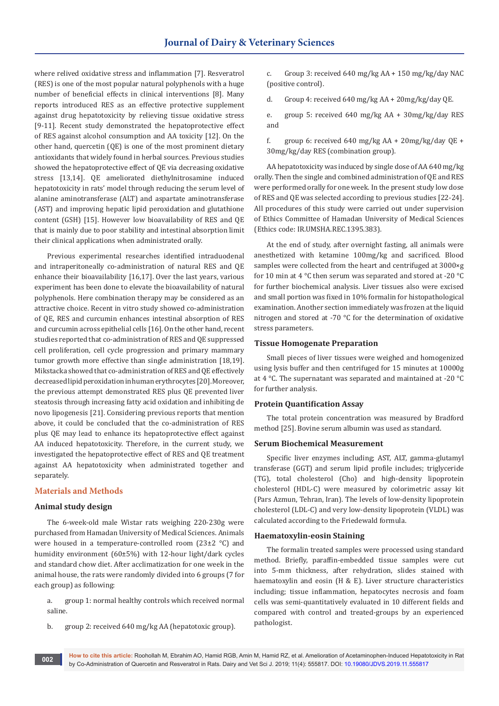where relived oxidative stress and inflammation [7]. Resveratrol (RES) is one of the most popular natural polyphenols with a huge number of beneficial effects in clinical interventions [8]. Many reports introduced RES as an effective protective supplement against drug hepatotoxicity by relieving tissue oxidative stress [9-11]. Recent study demonstrated the hepatoprotective effect of RES against alcohol consumption and AA toxicity [12]. On the other hand, quercetin (QE) is one of the most prominent dietary antioxidants that widely found in herbal sources. Previous studies showed the hepatoprotective effect of QE via decreasing oxidative stress [13,14]. QE ameliorated diethylnitrosamine induced hepatotoxicity in rats' model through reducing the serum level of alanine aminotransferase (ALT) and aspartate aminotransferase (AST) and improving hepatic lipid peroxidation and glutathione content (GSH) [15]. However low bioavailability of RES and QE that is mainly due to poor stability and intestinal absorption limit their clinical applications when administrated orally.

Previous experimental researches identified intraduodenal and intraperitoneally co-administration of natural RES and QE enhance their bioavailability [16,17]. Over the last years, various experiment has been done to elevate the bioavailability of natural polyphenols. Here combination therapy may be considered as an attractive choice. Recent in vitro study showed co-administration of QE, RES and curcumin enhances intestinal absorption of RES and curcumin across epithelial cells [16]. On the other hand, recent studies reported that co-administration of RES and QE suppressed cell proliferation, cell cycle progression and primary mammary tumor growth more effective than single administration [18,19]. Mikstacka showed that co-administration of RES and QE effectively decreased lipid peroxidation in human erythrocytes [20]. Moreover, the previous attempt demonstrated RES plus QE prevented liver steatosis through increasing fatty acid oxidation and inhibiting de novo lipogenesis [21]. Considering previous reports that mention above, it could be concluded that the co-administration of RES plus QE may lead to enhance its hepatoprotective effect against AA induced hepatotoxicity. Therefore, in the current study, we investigated the hepatoprotective effect of RES and QE treatment against AA hepatotoxicity when administrated together and separately.

# **Materials and Methods**

#### **Animal study design**

The 6-week-old male Wistar rats weighing 220-230g were purchased from Hamadan University of Medical Sciences. Animals were housed in a temperature-controlled room (23±2 °C) and humidity environment (60±5%) with 12-hour light/dark cycles and standard chow diet. After acclimatization for one week in the animal house, the rats were randomly divided into 6 groups (7 for each group) as following:

a. group 1: normal healthy controls which received normal saline.

b. group 2: received 640 mg/kg AA (hepatotoxic group).

c. Group 3: received 640 mg/kg AA + 150 mg/kg/day NAC (positive control).

d. Group 4: received 640 mg/kg AA + 20mg/kg/day QE.

e. group 5: received 640 mg/kg AA + 30mg/kg/day RES and

f. group 6: received 640 mg/kg AA +  $20$ mg/kg/day QE + 30mg/kg/day RES (combination group).

AA hepatotoxicity was induced by single dose of AA 640 mg/kg orally. Then the single and combined administration of QE and RES were performed orally for one week. In the present study low dose of RES and QE was selected according to previous studies [22-24]. All procedures of this study were carried out under supervision of Ethics Committee of Hamadan University of Medical Sciences (Ethics code: IR.UMSHA.REC.1395.383).

At the end of study, after overnight fasting, all animals were anesthetized with ketamine 100mg/kg and sacrificed. Blood samples were collected from the heart and centrifuged at 3000×g for 10 min at 4 °C then serum was separated and stored at -20 °C for further biochemical analysis. Liver tissues also were excised and small portion was fixed in 10% formalin for histopathological examination. Another section immediately was frozen at the liquid nitrogen and stored at -70 °C for the determination of oxidative stress parameters.

### **Tissue Homogenate Preparation**

Small pieces of liver tissues were weighed and homogenized using lysis buffer and then centrifuged for 15 minutes at 10000g at 4 °C. The supernatant was separated and maintained at -20 °C for further analysis.

#### **Protein Quantification Assay**

The total protein concentration was measured by Bradford method [25]. Bovine serum albumin was used as standard.

## **Serum Biochemical Measurement**

Specific liver enzymes including; AST, ALT, gamma-glutamyl transferase (GGT) and serum lipid profile includes; triglyceride (TG), total cholesterol (Cho) and high-density lipoprotein cholesterol (HDL-C) were measured by colorimetric assay kit (Pars Azmun, Tehran, Iran). The levels of low-density lipoprotein cholesterol (LDL-C) and very low-density lipoprotein (VLDL) was calculated according to the Friedewald formula.

## **Haematoxylin-eosin Staining**

The formalin treated samples were processed using standard method. Briefly, paraffin-embedded tissue samples were cut into 5-mm thickness, after rehydration, slides stained with haematoxylin and eosin (H & E). Liver structure characteristics including; tissue inflammation, hepatocytes necrosis and foam cells was semi-quantitatively evaluated in 10 different fields and compared with control and treated-groups by an experienced pathologist.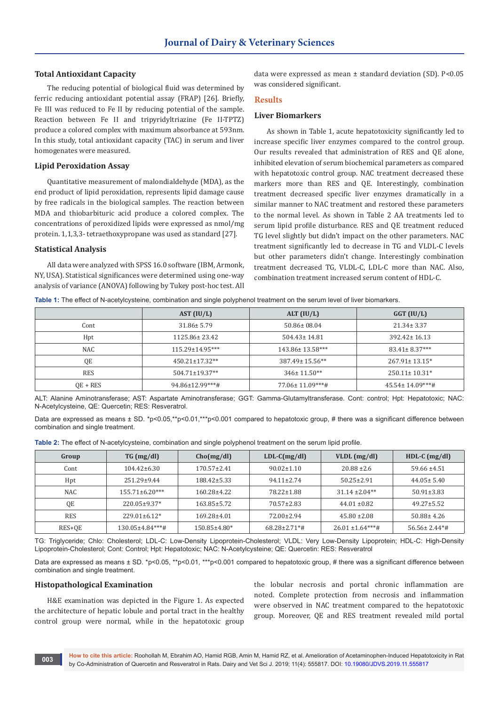## **Total Antioxidant Capacity**

The reducing potential of biological fluid was determined by ferric reducing antioxidant potential assay (FRAP) [26]. Briefly, Fe III was reduced to Fe II by reducing potential of the sample. Reaction between Fe II and tripyridyltriazine (Fe II-TPTZ) produce a colored complex with maximum absorbance at 593nm. In this study, total antioxidant capacity (TAC) in serum and liver homogenates were measured.

#### **Lipid Peroxidation Assay**

Quantitative measurement of malondialdehyde (MDA), as the end product of lipid peroxidation, represents lipid damage cause by free radicals in the biological samples. The reaction between MDA and thiobarbituric acid produce a colored complex. The concentrations of peroxidized lipids were expressed as nmol/mg protein. 1,1,3,3- tetraethoxypropane was used as standard [27].

#### **Statistical Analysis**

All data were analyzed with SPSS 16.0 software (IBM, Armonk, NY, USA). Statistical significances were determined using one-way analysis of variance (ANOVA) following by Tukey post-hoc test. All

data were expressed as mean ± standard deviation (SD). P<0.05 was considered significant.

#### **Results**

# **Liver Biomarkers**

As shown in Table 1, acute hepatotoxicity significantly led to increase specific liver enzymes compared to the control group. Our results revealed that administration of RES and QE alone, inhibited elevation of serum biochemical parameters as compared with hepatotoxic control group. NAC treatment decreased these markers more than RES and QE. Interestingly, combination treatment decreased specific liver enzymes dramatically in a similar manner to NAC treatment and restored these parameters to the normal level. As shown in Table 2 AA treatments led to serum lipid profile disturbance. RES and QE treatment reduced TG level slightly but didn't impact on the other parameters. NAC treatment significantly led to decrease in TG and VLDL-C levels but other parameters didn't change. Interestingly combination treatment decreased TG, VLDL-C, LDL-C more than NAC. Also, combination treatment increased serum content of HDL-C.

**Table 1:** The effect of N-acetylcysteine, combination and single polyphenol treatment on the serum level of liver biomarkers.

|            | AST (IU/L)           | ALT $(IU/L)$       | $GGT$ (IU/L)           |
|------------|----------------------|--------------------|------------------------|
| Cont       | $31.86 \pm 5.79$     | $50.86 \pm 08.04$  | $21.34 \pm 3.37$       |
| Hpt        | 1125.86±23.42        | $504.43 \pm 14.81$ | $392.42 \pm 16.13$     |
| <b>NAC</b> | 115.29±14.95***      | 143.86± 13.58***   | $83.41 \pm 8.37***$    |
| QE         | $450.21 \pm 17.32**$ | 387.49±15.56**     | $267.91 \pm 13.15^*$   |
| <b>RES</b> | 504.71±19.37**       | $346 \pm 11.50**$  | $250.11 \pm 10.31*$    |
| $OE + RES$ | 94.86±12.99***#      | 77.06± 11.09***#   | $45.54 \pm 14.09$ ***# |

ALT: Alanine Aminotransferase; AST: Aspartate Aminotransferase; GGT: Gamma-Glutamyltransferase. Cont: control; Hpt: Hepatotoxic; NAC: N-Acetylcysteine, QE: Quercetin; RES: Resveratrol.

Data are expressed as means ± SD. \*p<0.05,\*\*p<0.01,\*\*\*p<0.001 compared to hepatotoxic group, # there was a significant difference between combination and single treatment.

| Table 2: The effect of N-acetylcysteine, combination and single polyphenol treatment on the serum lipid profile. |  |  |
|------------------------------------------------------------------------------------------------------------------|--|--|
|------------------------------------------------------------------------------------------------------------------|--|--|

| Group      | $TG \, (mg/dl)$        | Cho(mg/dl)         | $LDL-C(mg/dl)$      | $VLDL$ (mg/dl)        | HDL-C $(mg/dl)$                 |
|------------|------------------------|--------------------|---------------------|-----------------------|---------------------------------|
| Cont       | $104.42 \pm 6.30$      | $170.57 \pm 2.41$  | $90.02 \pm 1.10$    | $20.88 \pm 2.6$       | $59.66 \pm 4.51$                |
| Hpt        | $251.29 \pm 9.44$      | 188.42±5.33        | $94.11 \pm 2.74$    | $50.25 \pm 2.91$      | $44.05 \pm 5.40$                |
| NAC        | $155.71 \pm 6.20***$   | $160.28 \pm 4.22$  | 78.22±1.88          | $31.14 \pm 2.04**$    | $50.91 \pm 3.83$                |
| QE         | 220.05±9.37*           | $163.85 \pm 5.72$  | $70.57 \pm 2.83$    | $44.01 \pm 0.82$      | $49.27 \pm 5.52$                |
| <b>RES</b> | $229.01 \pm 6.12*$     | $169.28 \pm 4.01$  | $72.00 \pm 2.94$    | $45.80 \pm 2.08$      | $50.88 \pm 4.26$                |
| RES+QE     | $130.05 \pm 4.84$ ***# | $150.85 \pm 4.80*$ | $68.28 \pm 2.71$ *# | $26.01 \pm 1.64***$ # | $56.56 \pm 2.44$ <sup>*</sup> # |

TG: Triglyceride; Chlo: Cholesterol; LDL-C: Low-Density Lipoprotein-Cholesterol; VLDL: Very Low-Density Lipoprotein; HDL-C: High-Density Lipoprotein-Cholesterol; Cont: Control; Hpt: Hepatotoxic; NAC: N-Acetylcysteine; QE: Quercetin: RES: Resveratrol

Data are expressed as means ± SD. \*p<0.05, \*\*p<0.01, \*\*\*p<0.001 compared to hepatotoxic group, # there was a significant difference between combination and single treatment.

#### **Histopathological Examination**

H&E examination was depicted in the Figure 1. As expected the architecture of hepatic lobule and portal tract in the healthy control group were normal, while in the hepatotoxic group

the lobular necrosis and portal chronic inflammation are noted. Complete protection from necrosis and inflammation were observed in NAC treatment compared to the hepatotoxic group. Moreover, QE and RES treatment revealed mild portal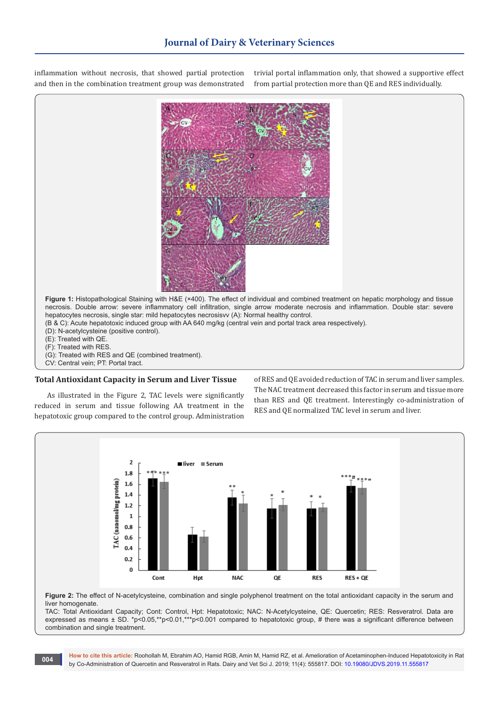inflammation without necrosis, that showed partial protection and then in the combination treatment group was demonstrated trivial portal inflammation only, that showed a supportive effect from partial protection more than QE and RES individually.



CV: Central vein; PT: Portal tract.

# **Total Antioxidant Capacity in Serum and Liver Tissue**

As illustrated in the Figure 2, TAC levels were significantly reduced in serum and tissue following AA treatment in the hepatotoxic group compared to the control group. Administration

of RES and QE avoided reduction of TAC in serum and liver samples. The NAC treatment decreased this factor in serum and tissue more than RES and QE treatment. Interestingly co-administration of RES and QE normalized TAC level in serum and liver.



**Figure 2:** The effect of N-acetylcysteine, combination and single polyphenol treatment on the total antioxidant capacity in the serum and liver homogenate.

TAC: Total Antioxidant Capacity; Cont: Control, Hpt: Hepatotoxic; NAC: N-Acetylcysteine, QE: Quercetin; RES: Resveratrol. Data are expressed as means ± SD. \*p<0.05,\*\*p<0.01,\*\*\*p<0.001 compared to hepatotoxic group, # there was a significant difference between combination and single treatment.

**How to cite this article:** Roohollah M, Ebrahim AO, Hamid RGB, Amin M, Hamid RZ, et al. Amelioration of Acetaminophen-Induced Hepatotoxicity in Rat by Co-Administration of Quercetin and Resveratrol in Rats. Dairy and Vet Sci J. 2019; 11(4): 555817. DOI: [10.19080/JDVS.2019.11.555817](http://dx.doi.org/10.19080/JDVS.2019.11.555817) **by** Co-Administration of Quercetin and Resveratrol in Rats. Dairy and Vet Sci J. 2019;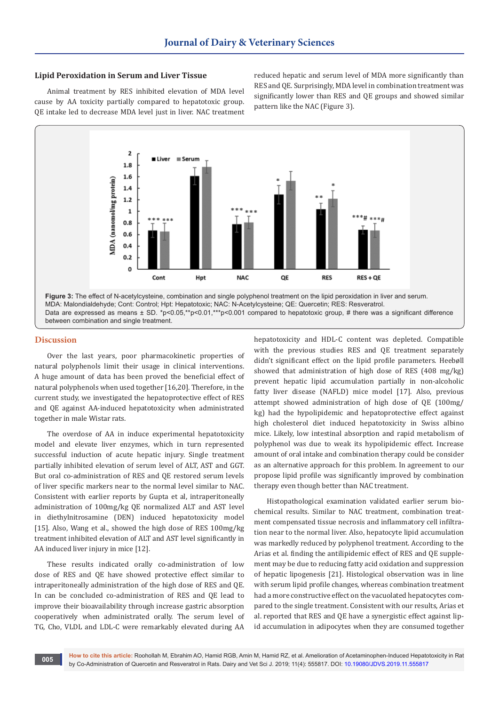# **Lipid Peroxidation in Serum and Liver Tissue**

Animal treatment by RES inhibited elevation of MDA level cause by AA toxicity partially compared to hepatotoxic group. QE intake led to decrease MDA level just in liver. NAC treatment reduced hepatic and serum level of MDA more significantly than RES and QE. Surprisingly, MDA level in combination treatment was significantly lower than RES and QE groups and showed similar pattern like the NAC (Figure 3).



between combination and single treatment.

#### **Discussion**

Over the last years, poor pharmacokinetic properties of natural polyphenols limit their usage in clinical interventions. A huge amount of data has been proved the beneficial effect of natural polyphenols when used together [16,20]. Therefore, in the current study, we investigated the hepatoprotective effect of RES and QE against AA-induced hepatotoxicity when administrated together in male Wistar rats.

The overdose of AA in induce experimental hepatotoxicity model and elevate liver enzymes, which in turn represented successful induction of acute hepatic injury. Single treatment partially inhibited elevation of serum level of ALT, AST and GGT. But oral co-administration of RES and QE restored serum levels of liver specific markers near to the normal level similar to NAC. Consistent with earlier reports by Gupta et al, intraperitoneally administration of 100mg/kg QE normalized ALT and AST level in diethylnitrosamine (DEN) induced hepatotoxicity model [15]. Also, Wang et al., showed the high dose of RES 100mg/kg treatment inhibited elevation of ALT and AST level significantly in AA induced liver injury in mice [12].

These results indicated orally co-administration of low dose of RES and QE have showed protective effect similar to intraperitoneally administration of the high dose of RES and QE. In can be concluded co-administration of RES and QE lead to improve their bioavailability through increase gastric absorption cooperatively when administrated orally. The serum level of TG, Cho, VLDL and LDL-C were remarkably elevated during AA

hepatotoxicity and HDL-C content was depleted. Compatible with the previous studies RES and QE treatment separately didn't significant effect on the lipid profile parameters. Heebøll showed that administration of high dose of RES (408 mg/kg) prevent hepatic lipid accumulation partially in non-alcoholic fatty liver disease (NAFLD) mice model [17]. Also, previous attempt showed administration of high dose of QE (100mg/ kg) had the hypolipidemic and hepatoprotective effect against high cholesterol diet induced hepatotoxicity in Swiss albino mice. Likely, low intestinal absorption and rapid metabolism of polyphenol was due to weak its hypolipidemic effect. Increase amount of oral intake and combination therapy could be consider as an alternative approach for this problem. In agreement to our propose lipid profile was significantly improved by combination therapy even though better than NAC treatment.

Histopathological examination validated earlier serum biochemical results. Similar to NAC treatment, combination treatment compensated tissue necrosis and inflammatory cell infiltration near to the normal liver. Also, hepatocyte lipid accumulation was markedly reduced by polyphenol treatment. According to the Arias et al. finding the antilipidemic effect of RES and QE supplement may be due to reducing fatty acid oxidation and suppression of hepatic lipogenesis [21]. Histological observation was in line with serum lipid profile changes, whereas combination treatment had a more constructive effect on the vacuolated hepatocytes compared to the single treatment. Consistent with our results, Arias et al. reported that RES and QE have a synergistic effect against lipid accumulation in adipocytes when they are consumed together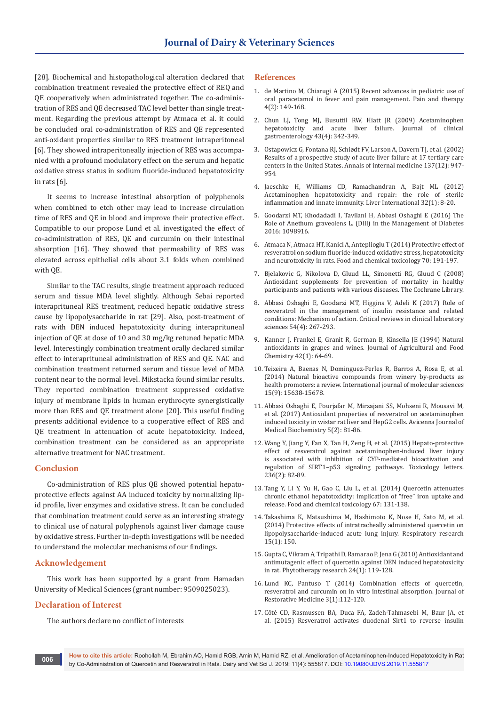[28]. Biochemical and histopathological alteration declared that combination treatment revealed the protective effect of REQ and QE cooperatively when administrated together. The co-administration of RES and QE decreased TAC level better than single treatment. Regarding the previous attempt by Atmaca et al. it could be concluded oral co-administration of RES and QE represented anti-oxidant properties similar to RES treatment intraperitoneal [6]. They showed intraperitoneally injection of RES was accompanied with a profound modulatory effect on the serum and hepatic oxidative stress status in sodium fluoride-induced hepatotoxicity in rats [6].

It seems to increase intestinal absorption of polyphenols when combined to etch other may lead to increase circulation time of RES and QE in blood and improve their protective effect. Compatible to our propose Lund et al. investigated the effect of co-administration of RES, QE and curcumin on their intestinal absorption [16]. They showed that permeability of RES was elevated across epithelial cells about 3.1 folds when combined with QE.

Similar to the TAC results, single treatment approach reduced serum and tissue MDA level slightly. Although Sebai reported interaprituneal RES treatment, reduced hepatic oxidative stress cause by lipopolysaccharide in rat [29]. Also, post-treatment of rats with DEN induced hepatotoxicity during interaprituneal injection of QE at dose of 10 and 30 mg/kg retuned hepatic MDA level. Interestingly combination treatment orally declared similar effect to interaprituneal administration of RES and QE. NAC and combination treatment returned serum and tissue level of MDA content near to the normal level. Mikstacka found similar results. They reported combination treatment suppressed oxidative injury of membrane lipids in human erythrocyte synergistically more than RES and QE treatment alone [20]. This useful finding presents additional evidence to a cooperative effect of RES and QE treatment in attenuation of acute hepatotoxicity. Indeed, combination treatment can be considered as an appropriate alternative treatment for NAC treatment.

# **Conclusion**

Co-administration of RES plus QE showed potential hepatoprotective effects against AA induced toxicity by normalizing lipid profile, liver enzymes and oxidative stress. It can be concluded that combination treatment could serve as an interesting strategy to clinical use of natural polyphenols against liver damage cause by oxidative stress. Further in-depth investigations will be needed to understand the molecular mechanisms of our findings.

# **Acknowledgement**

This work has been supported by a grant from Hamadan University of Medical Sciences (grant number: 9509025023).

# **Declaration of Interest**

The authors declare no conflict of interests

## **References**

- 1. [de Martino M, Chiarugi A \(2015\) Recent advances in pediatric use of](https://www.ncbi.nlm.nih.gov/pubmed/26518691)  [oral paracetamol in fever and pain management. Pain and therapy](https://www.ncbi.nlm.nih.gov/pubmed/26518691)  [4\(2\): 149-168.](https://www.ncbi.nlm.nih.gov/pubmed/26518691)
- 2. [Chun LJ, Tong MJ, Busuttil RW, Hiatt JR \(2009\) Acetaminophen](https://www.ncbi.nlm.nih.gov/pubmed/19169150)  [hepatotoxicity and acute liver failure. Journal of clinical](https://www.ncbi.nlm.nih.gov/pubmed/19169150)  [gastroenterology 43\(4\): 342-349.](https://www.ncbi.nlm.nih.gov/pubmed/19169150)
- 3. [Ostapowicz G, Fontana RJ, Schiødt FV, Larson A, Davern TJ, et al. \(2002\)](https://www.ncbi.nlm.nih.gov/pubmed/12484709)  [Results of a prospective study of acute liver failure at 17 tertiary care](https://www.ncbi.nlm.nih.gov/pubmed/12484709)  [centers in the United States. Annals of internal medicine 137\(12\): 947-](https://www.ncbi.nlm.nih.gov/pubmed/12484709) [954.](https://www.ncbi.nlm.nih.gov/pubmed/12484709)
- 4. [Jaeschke H, Williams CD, Ramachandran A, Bajt ML \(2012\)](https://www.ncbi.nlm.nih.gov/pubmed/21745276)  [Acetaminophen hepatotoxicity and repair: the role of sterile](https://www.ncbi.nlm.nih.gov/pubmed/21745276)  [inflammation and innate immunity. Liver International 32\(1\): 8-20.](https://www.ncbi.nlm.nih.gov/pubmed/21745276)
- 5. [Goodarzi MT, Khodadadi I, Tavilani H, Abbasi Oshaghi E \(2016\) The](https://www.ncbi.nlm.nih.gov/pubmed/27829842)  [Role of Anethum graveolens L. \(Dill\) in the Management of Diabetes](https://www.ncbi.nlm.nih.gov/pubmed/27829842)  [2016: 1098916.](https://www.ncbi.nlm.nih.gov/pubmed/27829842)
- 6. [Atmaca N, Atmaca HT, Kanici A, Anteplioglu T \(2014\) Protective effect of](https://www.ncbi.nlm.nih.gov/pubmed/24857819)  [resveratrol on sodium fluoride-induced oxidative stress, hepatotoxicity](https://www.ncbi.nlm.nih.gov/pubmed/24857819)  [and neurotoxicity in rats. Food and chemical toxicology 70: 191-197.](https://www.ncbi.nlm.nih.gov/pubmed/24857819)
- 7. Bjelakovic G, Nikolova D, Gluud LL, Simonetti RG, Gluud C (2008) Antioxidant supplements for prevention of mortality in healthy participants and patients with various diseases. The Cochrane Library.
- 8. [Abbasi Oshaghi E, Goodarzi MT, Higgins V, Adeli K \(2017\) Role of](https://www.ncbi.nlm.nih.gov/pubmed/28704113)  [resveratrol in the management of insulin resistance and related](https://www.ncbi.nlm.nih.gov/pubmed/28704113)  [conditions: Mechanism of action. Critical reviews in clinical laboratory](https://www.ncbi.nlm.nih.gov/pubmed/28704113)  [sciences 54\(4\): 267-293.](https://www.ncbi.nlm.nih.gov/pubmed/28704113)
- 9. Kanner J, Frankel E, Granit R, German B, Kinsella JE (1994) Natural antioxidants in grapes and wines. Journal of Agricultural and Food Chemistry 42(1): 64-69.
- 10. [Teixeira A, Baenas N, Dominguez-Perles R, Barros A, Rosa E, et al.](https://www.ncbi.nlm.nih.gov/pubmed/25192288)  [\(2014\) Natural bioactive compounds from winery by-products as](https://www.ncbi.nlm.nih.gov/pubmed/25192288)  [health promoters: a review. International journal of molecular sciences](https://www.ncbi.nlm.nih.gov/pubmed/25192288)  [15\(9\): 15638-15678.](https://www.ncbi.nlm.nih.gov/pubmed/25192288)
- 11. Abbasi Oshaghi E, Pourjafar M, Mirzajani SS, Mohseni R, Mousavi M, et al. (2017) Antioxidant properties of resveratrol on acetaminophen induced toxicity in wistar rat liver and HepG2 cells. Avicenna Journal of Medical Biochemistry 5(2): 81-86.
- 12. [Wang Y, Jiang Y, Fan X, Tan H, Zeng H, et al. \(2015\) Hepato-protective](https://www.ncbi.nlm.nih.gov/pubmed/25956474)  [effect of resveratrol against acetaminophen-induced liver injury](https://www.ncbi.nlm.nih.gov/pubmed/25956474)  [is associated with inhibition of CYP-mediated bioactivation and](https://www.ncbi.nlm.nih.gov/pubmed/25956474)  [regulation of SIRT1–p53 signaling pathways. Toxicology letters.](https://www.ncbi.nlm.nih.gov/pubmed/25956474)  [236\(2\): 82-89.](https://www.ncbi.nlm.nih.gov/pubmed/25956474)
- 13. [Tang Y, Li Y, Yu H, Gao C, Liu L, et al. \(2014\) Quercetin attenuates](https://www.ncbi.nlm.nih.gov/pubmed/24569067)  [chronic ethanol hepatotoxicity: implication of "free" iron uptake and](https://www.ncbi.nlm.nih.gov/pubmed/24569067)  [release. Food and chemical toxicology 67: 131-138.](https://www.ncbi.nlm.nih.gov/pubmed/24569067)
- 14. [Takashima K, Matsushima M, Hashimoto K, Nose H, Sato M, et al.](https://www.ncbi.nlm.nih.gov/pubmed/25413579)  [\(2014\) Protective effects of intratracheally administered quercetin on](https://www.ncbi.nlm.nih.gov/pubmed/25413579)  [lipopolysaccharide-induced acute lung injury. Respiratory research](https://www.ncbi.nlm.nih.gov/pubmed/25413579)  [15\(1\): 150.](https://www.ncbi.nlm.nih.gov/pubmed/25413579)
- 15. [Gupta C, Vikram A, Tripathi D, Ramarao P, Jena G \(2010\) Antioxidant and](https://www.ncbi.nlm.nih.gov/pubmed/19504466)  [antimutagenic effect of quercetin against DEN induced hepatotoxicity](https://www.ncbi.nlm.nih.gov/pubmed/19504466)  [in rat. Phytotherapy research 24\(1\): 119-128.](https://www.ncbi.nlm.nih.gov/pubmed/19504466)
- 16. Lund KC, Pantuso T (2014) Combination effects of quercetin, resveratrol and curcumin on in vitro intestinal absorption. Journal of Restorative Medicine 3(1):112-120.
- 17. [Côté CD, Rasmussen BA, Duca FA, Zadeh-Tahmasebi M, Baur JA, et](https://www.ncbi.nlm.nih.gov/pubmed/25849131)  [al. \(2015\) Resveratrol activates duodenal Sirt1 to reverse insulin](https://www.ncbi.nlm.nih.gov/pubmed/25849131)